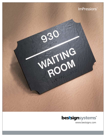



www.bestsigns.com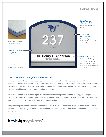# ImPressions™



## ImPressions, Perfect for High-Traffic Environments

ImPressions uniquely combines durable performance and design flexibility in a single-piece ADA sign. That means no attached letters or raised characters to pull or pick at by curious passersby. ImPressions is perfect for high-traffic environments such as schools, hospitals and hotels – withstanding damage from cleaning and excessive handling without compromising fine graphic detail.

ImPressions is manufactured through a process of thermoforming which provides for crisp, clean edges, detailed text, logos and graphics. Combined with integral color and fingerprint-resistant surface texturing, this sturdy technology provides a wide range of design flexibility.

The product's performance lies in its composition — made from an impact and flame-resistant, thermoplastic alloy used in a wide range of industrial and commercial applications including aircraft and medical equipment enclosures.

# **bestsignsystems®**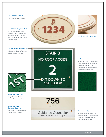### Five Standard Profiles

Ellipse/Round profile shown.

#### 14 Standard Integral Colors

14 standard integral colors available to complement most contemporary environments. UV coating option available for exterior usage.

Bevels and Edge Detailing

#### Optional Decorative Accents

 $\overline{\bullet}$ 

Enhance the design of any sign with decorative accents.

Raised Text and Braille Integral tactile lettering and preferred dome-style Braille.

### Raised Text and Character Coloring

Best offers 73 standard colors. Custom colors available.

# **STAIR 3 NO ROOF ACCESS EXIT DOWN TO 1ST FLOOR**

 $\bigcap$ 

#### Surface Textures

Stipple and slate surface textures provide additional flexibility to the design and help hide fingerprints and minor marring from excessive handling.



## Guidance Counselor

Office Hours: 9:00 a.m. to 5:00 p.m.

#### Paper Insert Options

 $\overline{O}$ 

Add an updatable paper insert window holder to any multi-use room sign to expand the sign's messaging capabilities.